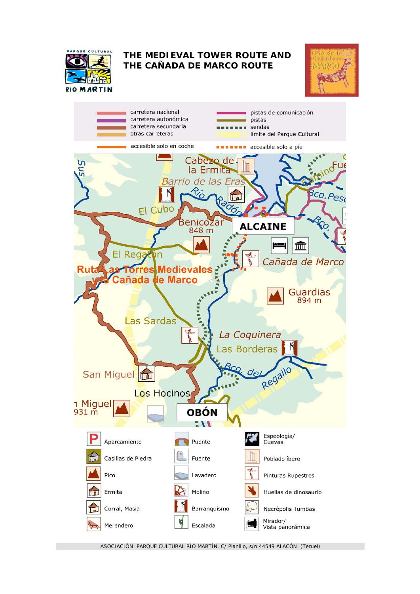

## **THE MEDIEVAL TOWER ROUTE AND THE CAÑADA DE MARCO ROUTE**





ASOCIACIÓN PARQUE CULTURAL RÍO MARTÍN. C/ Planillo, s/n 44549 ALACÓN (Teruel)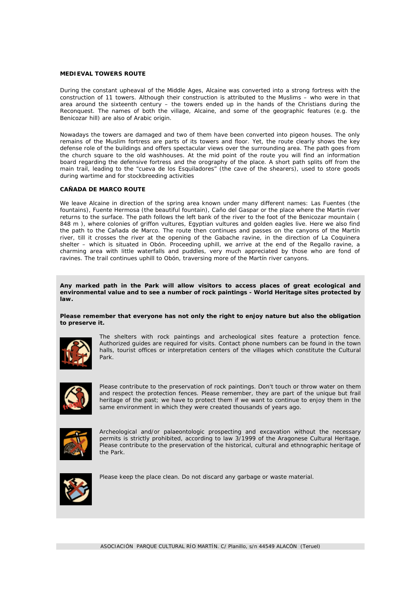## **MEDIEVAL TOWERS ROUTE**

During the constant upheaval of the Middle Ages, Alcaine was converted into a strong fortress with the construction of 11 towers. Although their construction is attributed to the Muslims – who were in that area around the sixteenth century – the towers ended up in the hands of the Christians during the Reconquest. The names of both the village, Alcaine, and some of the geographic features (e.g. the Benicozar hill) are also of Arabic origin.

Nowadays the towers are damaged and two of them have been converted into pigeon houses. The only remains of the Muslim fortress are parts of its towers and floor. Yet, the route clearly shows the key defense role of the buildings and offers spectacular views over the surrounding area. The path goes from the church square to the old washhouses. At the mid point of the route you will find an information board regarding the defensive fortress and the orography of the place. A short path splits off from the main trail, leading to the "cueva de los Esquiladores" (the cave of the shearers), used to store goods during wartime and for stockbreeding activities

## **CAÑADA DE MARCO ROUTE**

We leave Alcaine in direction of the spring area known under many different names: Las Fuentes (the fountains), Fuente Hermosa (the beautiful fountain), Caño del Gaspar or the place where the Martín river returns to the surface. The path follows the left bank of the river to the foot of the Benicozar mountain ( 848 m ), where colonies of griffon vultures, Egyptian vultures and golden eagles live. Here we also find the path to the Cañada de Marco. The route then continues and passes on the canyons of the Martín river, till it crosses the river at the opening of the Gabache ravine, in the direction of La Coquinera shelter – which is situated in Obón. Proceeding uphill, we arrive at the end of the Regallo ravine, a charming area with little waterfalls and puddles, very much appreciated by those who are fond of ravines. The trail continues uphill to Obón, traversing more of the Martín river canyons.

**Any marked path in the Park will allow visitors to access places of great ecological and environmental value and to see a number of rock paintings - World Heritage sites protected by law.** 

**Please remember that everyone has not only the right to enjoy nature but also the obligation to preserve it.**



The shelters with rock paintings and archeological sites feature a protection fence. Authorized guides are required for visits. Contact phone numbers can be found in the town halls, tourist offices or interpretation centers of the villages which constitute the Cultural Park.



Please contribute to the preservation of rock paintings. Don't touch or throw water on them and respect the protection fences. Please remember, they are part of the unique but frail heritage of the past; we have to protect them if we want to continue to enjoy them in the same environment in which they were created thousands of years ago.



Archeological and/or palaeontologic prospecting and excavation without the necessary permits is strictly prohibited, according to law 3/1999 of the Aragonese Cultural Heritage. Please contribute to the preservation of the historical, cultural and ethnographic heritage of the Park.



Please keep the place clean. Do not discard any garbage or waste material.